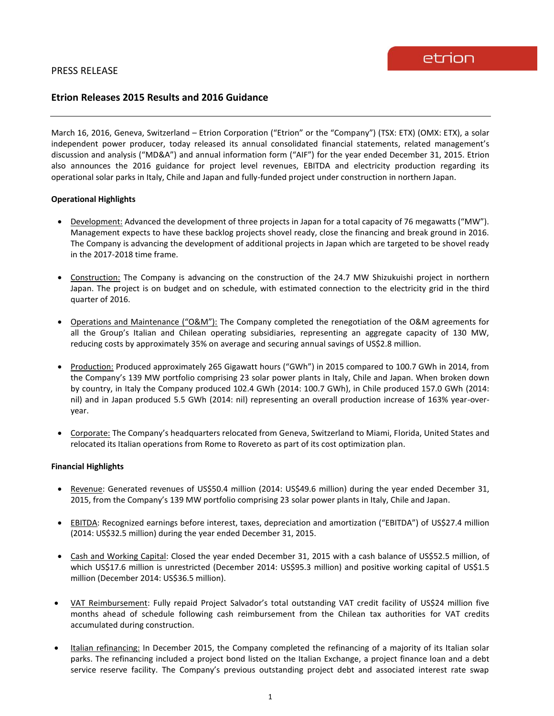# **Etrion Releases 2015 Results and 2016 Guidance**

March 16, 2016, Geneva, Switzerland – Etrion Corporation ("Etrion" or the "Company") (TSX: ETX) (OMX: ETX), a solar independent power producer, today released its annual consolidated financial statements, related management's discussion and analysis ("MD&A") and annual information form ("AIF") for the year ended December 31, 2015. Etrion also announces the 2016 guidance for project level revenues, EBITDA and electricity production regarding its operational solar parks in Italy, Chile and Japan and fully-funded project under construction in northern Japan.

## **Operational Highlights**

- Development: Advanced the development of three projects in Japan for a total capacity of 76 megawatts ("MW"). Management expects to have these backlog projects shovel ready, close the financing and break ground in 2016. The Company is advancing the development of additional projects in Japan which are targeted to be shovel ready in the 2017-2018 time frame.
- Construction: The Company is advancing on the construction of the 24.7 MW Shizukuishi project in northern Japan. The project is on budget and on schedule, with estimated connection to the electricity grid in the third quarter of 2016.
- Operations and Maintenance ("O&M"): The Company completed the renegotiation of the O&M agreements for all the Group's Italian and Chilean operating subsidiaries, representing an aggregate capacity of 130 MW, reducing costs by approximately 35% on average and securing annual savings of US\$2.8 million.
- Production: Produced approximately 265 Gigawatt hours ("GWh") in 2015 compared to 100.7 GWh in 2014, from the Company's 139 MW portfolio comprising 23 solar power plants in Italy, Chile and Japan. When broken down by country, in Italy the Company produced 102.4 GWh (2014: 100.7 GWh), in Chile produced 157.0 GWh (2014: nil) and in Japan produced 5.5 GWh (2014: nil) representing an overall production increase of 163% year-overyear.
- Corporate: The Company's headquarters relocated from Geneva, Switzerland to Miami, Florida, United States and relocated its Italian operations from Rome to Rovereto as part of its cost optimization plan.

## **Financial Highlights**

- Revenue: Generated revenues of US\$50.4 million (2014: US\$49.6 million) during the year ended December 31, 2015, from the Company's 139 MW portfolio comprising 23 solar power plants in Italy, Chile and Japan.
- EBITDA: Recognized earnings before interest, taxes, depreciation and amortization ("EBITDA") of US\$27.4 million (2014: US\$32.5 million) during the year ended December 31, 2015.
- Cash and Working Capital: Closed the year ended December 31, 2015 with a cash balance of US\$52.5 million, of which US\$17.6 million is unrestricted (December 2014: US\$95.3 million) and positive working capital of US\$1.5 million (December 2014: US\$36.5 million).
- VAT Reimbursement: Fully repaid Project Salvador's total outstanding VAT credit facility of US\$24 million five months ahead of schedule following cash reimbursement from the Chilean tax authorities for VAT credits accumulated during construction.
- Italian refinancing: In December 2015, the Company completed the refinancing of a majority of its Italian solar parks. The refinancing included a project bond listed on the Italian Exchange, a project finance loan and a debt service reserve facility. The Company's previous outstanding project debt and associated interest rate swap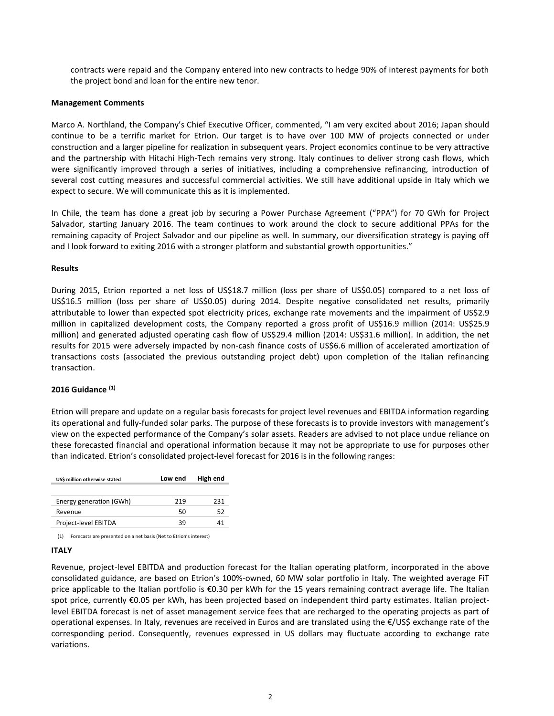contracts were repaid and the Company entered into new contracts to hedge 90% of interest payments for both the project bond and loan for the entire new tenor.

## **Management Comments**

Marco A. Northland, the Company's Chief Executive Officer, commented, "I am very excited about 2016; Japan should continue to be a terrific market for Etrion. Our target is to have over 100 MW of projects connected or under construction and a larger pipeline for realization in subsequent years. Project economics continue to be very attractive and the partnership with Hitachi High-Tech remains very strong. Italy continues to deliver strong cash flows, which were significantly improved through a series of initiatives, including a comprehensive refinancing, introduction of several cost cutting measures and successful commercial activities. We still have additional upside in Italy which we expect to secure. We will communicate this as it is implemented.

In Chile, the team has done a great job by securing a Power Purchase Agreement ("PPA") for 70 GWh for Project Salvador, starting January 2016. The team continues to work around the clock to secure additional PPAs for the remaining capacity of Project Salvador and our pipeline as well. In summary, our diversification strategy is paying off and I look forward to exiting 2016 with a stronger platform and substantial growth opportunities."

## **Results**

During 2015, Etrion reported a net loss of US\$18.7 million (loss per share of US\$0.05) compared to a net loss of US\$16.5 million (loss per share of US\$0.05) during 2014. Despite negative consolidated net results, primarily attributable to lower than expected spot electricity prices, exchange rate movements and the impairment of US\$2.9 million in capitalized development costs, the Company reported a gross profit of US\$16.9 million (2014: US\$25.9 million) and generated adjusted operating cash flow of US\$29.4 million (2014: US\$31.6 million). In addition, the net results for 2015 were adversely impacted by non-cash finance costs of US\$6.6 million of accelerated amortization of transactions costs (associated the previous outstanding project debt) upon completion of the Italian refinancing transaction.

## **2016 Guidance (1)**

Etrion will prepare and update on a regular basis forecasts for project level revenues and EBITDA information regarding its operational and fully-funded solar parks. The purpose of these forecasts is to provide investors with management's view on the expected performance of the Company's solar assets. Readers are advised to not place undue reliance on these forecasted financial and operational information because it may not be appropriate to use for purposes other than indicated. Etrion's consolidated project-level forecast for 2016 is in the following ranges:

| US\$ million otherwise stated | Low end | High end |
|-------------------------------|---------|----------|
|                               |         |          |
| Energy generation (GWh)       | 219     | 231      |
| Revenue                       | 50      | 52       |
| Project-level EBITDA          | 39      | 41       |

(1) Forecasts are presented on a net basis (Net to Etrion's interest)

## **ITALY**

Revenue, project-level EBITDA and production forecast for the Italian operating platform, incorporated in the above consolidated guidance, are based on Etrion's 100%-owned, 60 MW solar portfolio in Italy. The weighted average FiT price applicable to the Italian portfolio is  $\epsilon$ 0.30 per kWh for the 15 years remaining contract average life. The Italian spot price, currently €0.05 per kWh, has been projected based on independent third party estimates. Italian projectlevel EBITDA forecast is net of asset management service fees that are recharged to the operating projects as part of operational expenses. In Italy, revenues are received in Euros and are translated using the €/US\$ exchange rate of the corresponding period. Consequently, revenues expressed in US dollars may fluctuate according to exchange rate variations.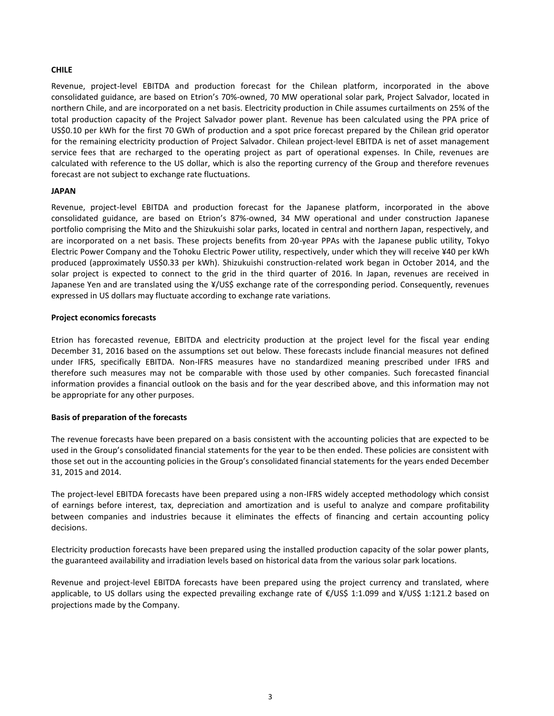## **CHILE**

Revenue, project-level EBITDA and production forecast for the Chilean platform, incorporated in the above consolidated guidance, are based on Etrion's 70%-owned, 70 MW operational solar park, Project Salvador, located in northern Chile, and are incorporated on a net basis. Electricity production in Chile assumes curtailments on 25% of the total production capacity of the Project Salvador power plant. Revenue has been calculated using the PPA price of US\$0.10 per kWh for the first 70 GWh of production and a spot price forecast prepared by the Chilean grid operator for the remaining electricity production of Project Salvador. Chilean project-level EBITDA is net of asset management service fees that are recharged to the operating project as part of operational expenses. In Chile, revenues are calculated with reference to the US dollar, which is also the reporting currency of the Group and therefore revenues forecast are not subject to exchange rate fluctuations.

#### **JAPAN**

Revenue, project-level EBITDA and production forecast for the Japanese platform, incorporated in the above consolidated guidance, are based on Etrion's 87%-owned, 34 MW operational and under construction Japanese portfolio comprising the Mito and the Shizukuishi solar parks, located in central and northern Japan, respectively, and are incorporated on a net basis. These projects benefits from 20-year PPAs with the Japanese public utility, Tokyo Electric Power Company and the Tohoku Electric Power utility, respectively, under which they will receive ¥40 per kWh produced (approximately US\$0.33 per kWh). Shizukuishi construction-related work began in October 2014, and the solar project is expected to connect to the grid in the third quarter of 2016. In Japan, revenues are received in Japanese Yen and are translated using the ¥/US\$ exchange rate of the corresponding period. Consequently, revenues expressed in US dollars may fluctuate according to exchange rate variations.

#### **Project economics forecasts**

Etrion has forecasted revenue, EBITDA and electricity production at the project level for the fiscal year ending December 31, 2016 based on the assumptions set out below. These forecasts include financial measures not defined under IFRS, specifically EBITDA. Non-IFRS measures have no standardized meaning prescribed under IFRS and therefore such measures may not be comparable with those used by other companies. Such forecasted financial information provides a financial outlook on the basis and for the year described above, and this information may not be appropriate for any other purposes.

## **Basis of preparation of the forecasts**

The revenue forecasts have been prepared on a basis consistent with the accounting policies that are expected to be used in the Group's consolidated financial statements for the year to be then ended. These policies are consistent with those set out in the accounting policies in the Group's consolidated financial statements for the years ended December 31, 2015 and 2014.

The project-level EBITDA forecasts have been prepared using a non-IFRS widely accepted methodology which consist of earnings before interest, tax, depreciation and amortization and is useful to analyze and compare profitability between companies and industries because it eliminates the effects of financing and certain accounting policy decisions.

Electricity production forecasts have been prepared using the installed production capacity of the solar power plants, the guaranteed availability and irradiation levels based on historical data from the various solar park locations.

Revenue and project-level EBITDA forecasts have been prepared using the project currency and translated, where applicable, to US dollars using the expected prevailing exchange rate of €/US\$ 1:1.099 and ¥/US\$ 1:121.2 based on projections made by the Company.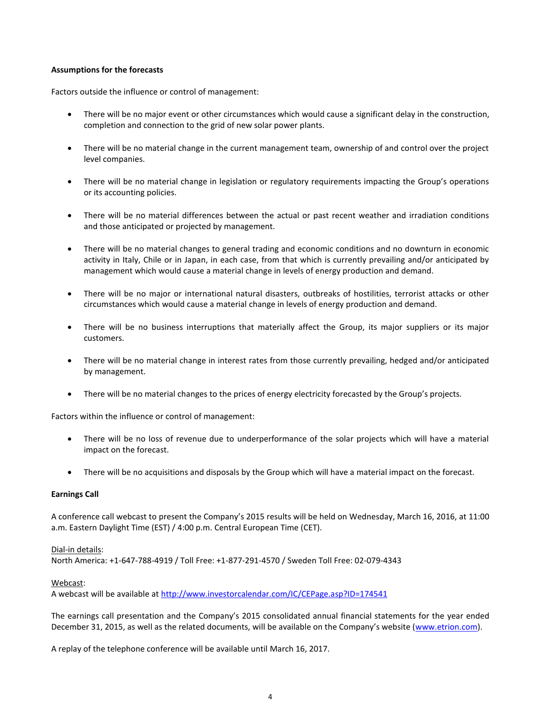## **Assumptions for the forecasts**

Factors outside the influence or control of management:

- There will be no major event or other circumstances which would cause a significant delay in the construction, completion and connection to the grid of new solar power plants.
- There will be no material change in the current management team, ownership of and control over the project level companies.
- There will be no material change in legislation or regulatory requirements impacting the Group's operations or its accounting policies.
- There will be no material differences between the actual or past recent weather and irradiation conditions and those anticipated or projected by management.
- There will be no material changes to general trading and economic conditions and no downturn in economic activity in Italy, Chile or in Japan, in each case, from that which is currently prevailing and/or anticipated by management which would cause a material change in levels of energy production and demand.
- There will be no major or international natural disasters, outbreaks of hostilities, terrorist attacks or other circumstances which would cause a material change in levels of energy production and demand.
- There will be no business interruptions that materially affect the Group, its major suppliers or its major customers.
- There will be no material change in interest rates from those currently prevailing, hedged and/or anticipated by management.
- There will be no material changes to the prices of energy electricity forecasted by the Group's projects.

Factors within the influence or control of management:

- There will be no loss of revenue due to underperformance of the solar projects which will have a material impact on the forecast.
- There will be no acquisitions and disposals by the Group which will have a material impact on the forecast.

## **Earnings Call**

A conference call webcast to present the Company's 2015 results will be held on Wednesday, March 16, 2016, at 11:00 a.m. Eastern Daylight Time (EST) / 4:00 p.m. Central European Time (CET).

## Dial-in details:

North America: +1-647-788-4919 / Toll Free: +1-877-291-4570 / Sweden Toll Free: 02-079-4343

## Webcast:

A webcast will be available at <http://www.investorcalendar.com/IC/CEPage.asp?ID=174541>

The earnings call presentation and the Company's 2015 consolidated annual financial statements for the year ended December 31, 2015, as well as the related documents, will be available on the Company's website ([www.etrion.com\)](http://www.etrion.com/).

A replay of the telephone conference will be available until March 16, 2017.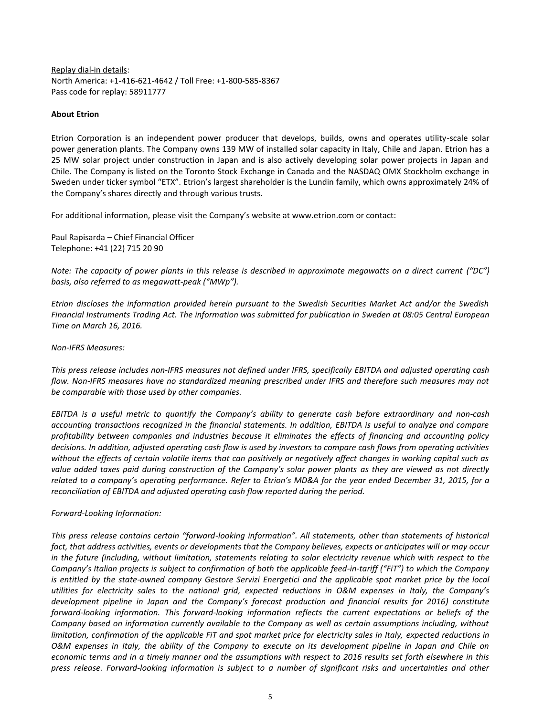Replay dial-in details: North America: +1-416-621-4642 / Toll Free: +1-800-585-8367 Pass code for replay: 58911777

## **About Etrion**

Etrion Corporation is an independent power producer that develops, builds, owns and operates utility-scale solar power generation plants. The Company owns 139 MW of installed solar capacity in Italy, Chile and Japan. Etrion has a 25 MW solar project under construction in Japan and is also actively developing solar power projects in Japan and Chile. The Company is listed on the Toronto Stock Exchange in Canada and the NASDAQ OMX Stockholm exchange in Sweden under ticker symbol "ETX". Etrion's largest shareholder is the Lundin family, which owns approximately 24% of the Company's shares directly and through various trusts.

For additional information, please visit the Company's website at www.etrion.com or contact:

Paul Rapisarda – Chief Financial Officer Telephone: +41 (22) 715 20 90

*Note: The capacity of power plants in this release is described in approximate megawatts on a direct current ("DC") basis, also referred to as megawatt-peak ("MWp").*

*Etrion discloses the information provided herein pursuant to the Swedish Securities Market Act and/or the Swedish Financial Instruments Trading Act. The information was submitted for publication in Sweden at 08:05 Central European Time on March 16, 2016.*

*Non-IFRS Measures:*

*This press release includes non-IFRS measures not defined under IFRS, specifically EBITDA and adjusted operating cash flow. Non-IFRS measures have no standardized meaning prescribed under IFRS and therefore such measures may not be comparable with those used by other companies.* 

*EBITDA is a useful metric to quantify the Company's ability to generate cash before extraordinary and non-cash accounting transactions recognized in the financial statements. In addition, EBITDA is useful to analyze and compare profitability between companies and industries because it eliminates the effects of financing and accounting policy decisions. In addition, adjusted operating cash flow is used by investors to compare cash flows from operating activities without the effects of certain volatile items that can positively or negatively affect changes in working capital such as value added taxes paid during construction of the Company's solar power plants as they are viewed as not directly related to a company's operating performance. Refer to Etrion's MD&A for the year ended December 31, 2015, for a reconciliation of EBITDA and adjusted operating cash flow reported during the period.* 

*Forward-Looking Information:*

*This press release contains certain "forward-looking information". All statements, other than statements of historical fact, that address activities, events or developments that the Company believes, expects or anticipates will or may occur in the future (including, without limitation, statements relating to solar electricity revenue which with respect to the Company's Italian projects is subject to confirmation of both the applicable feed-in-tariff ("FiT") to which the Company*  is entitled by the state-owned company Gestore Servizi Energetici and the applicable spot market price by the *local utilities for electricity sales to the national grid, expected reductions in O&M expenses in Italy, the Company's development pipeline in Japan and the Company's forecast production and financial results for 2016) constitute forward-looking information. This forward-looking information reflects the current expectations or beliefs of the Company based on information currently available to the Company as well as certain assumptions including, without limitation, confirmation of the applicable FiT and spot market price for electricity sales in Italy, expected reductions in O&M expenses in Italy, the ability of the Company to execute on its development pipeline in Japan and Chile on economic terms and in a timely manner and the assumptions with respect to 2016 results set forth elsewhere in this press release. Forward-looking information is subject to a number of significant risks and uncertainties and other*